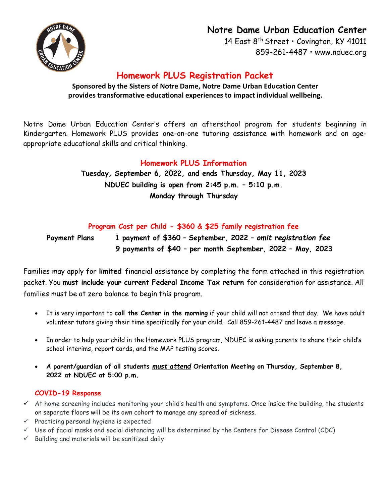# **Notre Dame Urban Education Center**

14 East 8<sup>th</sup> Street · Covington, KY 41011 859-261-4487 • [www.nduec.org](http://www.nduec.org/)

# **Homework PLUS Registration Packet**

**Sponsored by the Sisters of Notre Dame, Notre Dame Urban Education Center provides transformative educational experiences to impact individual wellbeing.**

Notre Dame Urban Education Center's offers an afterschool program for students beginning in Kindergarten. Homework PLUS provides one-on-one tutoring assistance with homework and on ageappropriate educational skills and critical thinking.

## **Homework PLUS Information**

**Tuesday, September 6, 2022, and ends Thursday, May 11, 2023 NDUEC building is open from 2:45 p.m. – 5:10 p.m. Monday through Thursday**

## **Program Cost per Child - \$360 & \$25 family registration fee**

**Payment Plans 1 payment of \$360 – September, 2022 –** *omit registration fee* **9 payments of \$40 – per month September, 2022 – May, 2023**

Families may apply for **limited** financial assistance by completing the form attached in this registration packet. You **must include your current Federal Income Tax return** for consideration for assistance. All families must be at zero balance to begin this program.

- It is very important to **call the Center in the morning** if your child will not attend that day. We have adult volunteer tutors giving their time specifically for your child. Call 859-261-4487 and leave a message.
- In order to help your child in the Homework PLUS program, NDUEC is asking parents to share their child's school interims, report cards, and the MAP testing scores.
- **A parent/guardian of all students** *must attend* **Orientation Meeting on Thursday, September 8, 2022 at NDUEC at 5:00 p.m.**

### **COVID-19 Response**

- $\checkmark$  At home screening includes monitoring your child's health and symptoms. Once inside the building, the students on separate floors will be its own cohort to manage any spread of sickness.
- $\checkmark$  Practicing personal hygiene is expected
- $\check{\phantom{\phi}}$  Use of facial masks and social distancing will be determined by the Centers for Disease Control (CDC)
- $\checkmark$  Building and materials will be sanitized daily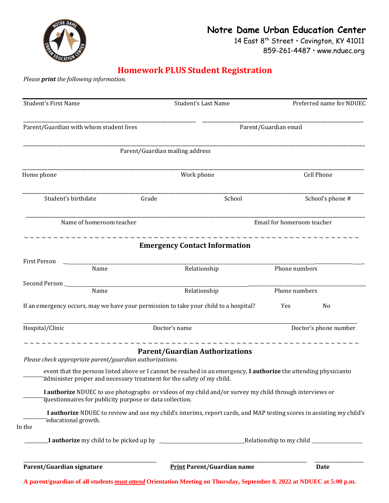

## **Notre Dame Urban Education Center** 14 East 8<sup>th</sup> Street · Covington, KY 41011

859-261-4487 • [www.nduec.org](http://www.nduec.org/)

## **Homework PLUS Student Registration**

*Please print the following information.*

| <b>Student's First Name</b>                                                                                                                                                                |                                 | <b>Student's Last Name</b>            | Preferred name for NDUEC   |                   |  |
|--------------------------------------------------------------------------------------------------------------------------------------------------------------------------------------------|---------------------------------|---------------------------------------|----------------------------|-------------------|--|
| Parent/Guardian with whom student lives                                                                                                                                                    |                                 | Parent/Guardian email                 |                            |                   |  |
|                                                                                                                                                                                            | Parent/Guardian mailing address |                                       |                            |                   |  |
| Home phone                                                                                                                                                                                 |                                 | Work phone                            |                            | <b>Cell Phone</b> |  |
| Student's birthdate                                                                                                                                                                        | Grade                           | School                                |                            | School's phone #  |  |
| Name of homeroom teacher                                                                                                                                                                   |                                 |                                       | Email for homeroom teacher |                   |  |
|                                                                                                                                                                                            |                                 | <b>Emergency Contact Information</b>  |                            |                   |  |
| First Person<br>Name                                                                                                                                                                       | Relationship                    |                                       | Phone numbers              |                   |  |
|                                                                                                                                                                                            |                                 |                                       |                            |                   |  |
| Name<br>Relationship<br>If an emergency occurs, may we have your permission to take your child to a hospital?                                                                              |                                 | Phone numbers<br><b>Yes</b>           | No                         |                   |  |
| Hospital/Clinic                                                                                                                                                                            | Doctor's name                   |                                       | Doctor's phone number      |                   |  |
| Please check appropriate parent/guardian authorizations.                                                                                                                                   |                                 | <b>Parent/Guardian Authorizations</b> |                            |                   |  |
| event that the persons listed above or I cannot be reached in an emergency, I authorize the attending physicianto<br>administer proper and necessary treatment for the safety of my child. |                                 |                                       |                            |                   |  |
| I authorize NDUEC to use photographs or videos of my child and/or survey my child through interviews or<br>questionnaires for publicity purpose or data collection.                        |                                 |                                       |                            |                   |  |
| I authorize NDUEC to review and use my child's interims, report cards, and MAP testing scores in assisting my child's<br>educational growth.<br>In the                                     |                                 |                                       |                            |                   |  |
|                                                                                                                                                                                            |                                 |                                       |                            |                   |  |
| Parent/Guardian signature                                                                                                                                                                  |                                 | <b>Print Parent/Guardian name</b>     |                            | <b>Date</b>       |  |

A parent/guardian of all students *must attend* Orientation Meeting on Thursday, September 8, 2022 at NDUEC at 5:00 p.m.